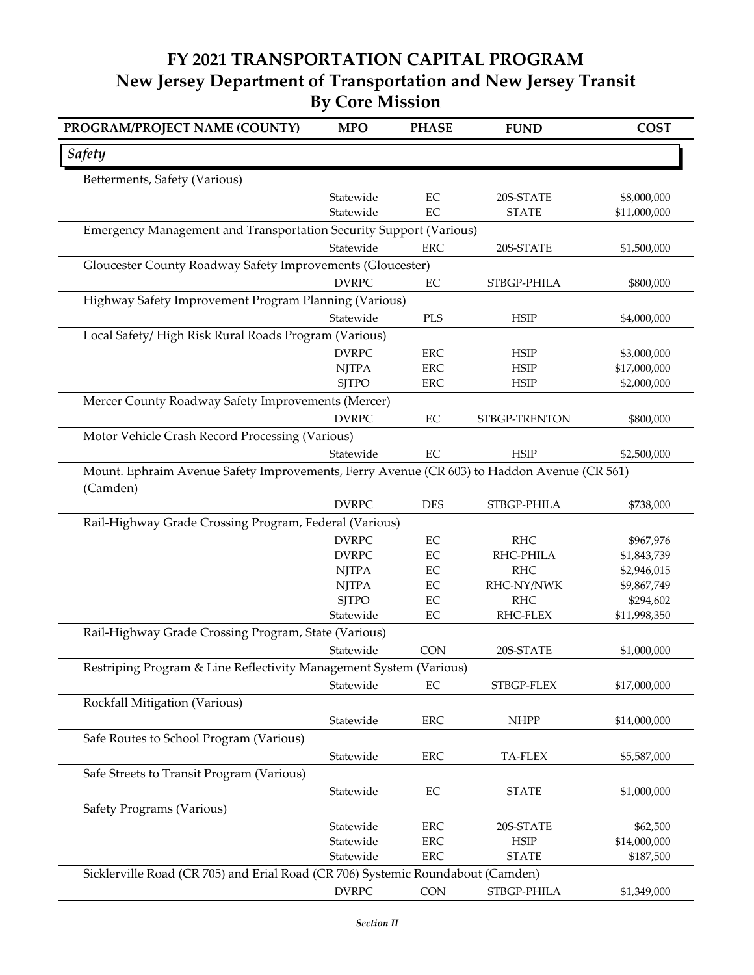## **FY 2021 TRANSPORTATION CAPITAL PROGRAM New Jersey Department of Transportation and New Jersey Transit By Core Mission**

| PROGRAM/PROJECT NAME (COUNTY)                                                                          | <b>MPO</b>   | <b>PHASE</b> | <b>FUND</b>   | <b>COST</b>  |  |  |  |
|--------------------------------------------------------------------------------------------------------|--------------|--------------|---------------|--------------|--|--|--|
| <b>Safety</b>                                                                                          |              |              |               |              |  |  |  |
| Betterments, Safety (Various)                                                                          |              |              |               |              |  |  |  |
|                                                                                                        | Statewide    | $\rm EC$     | 20S-STATE     | \$8,000,000  |  |  |  |
|                                                                                                        | Statewide    | EC           | <b>STATE</b>  | \$11,000,000 |  |  |  |
| Emergency Management and Transportation Security Support (Various)                                     |              |              |               |              |  |  |  |
|                                                                                                        | Statewide    | ERC          | 20S-STATE     | \$1,500,000  |  |  |  |
| Gloucester County Roadway Safety Improvements (Gloucester)                                             |              |              |               |              |  |  |  |
|                                                                                                        | <b>DVRPC</b> | $\rm EC$     | STBGP-PHILA   | \$800,000    |  |  |  |
| Highway Safety Improvement Program Planning (Various)                                                  |              |              |               |              |  |  |  |
|                                                                                                        | Statewide    | PLS          | <b>HSIP</b>   | \$4,000,000  |  |  |  |
| Local Safety/High Risk Rural Roads Program (Various)                                                   |              |              |               |              |  |  |  |
|                                                                                                        | <b>DVRPC</b> | <b>ERC</b>   | <b>HSIP</b>   | \$3,000,000  |  |  |  |
|                                                                                                        | <b>NJTPA</b> | <b>ERC</b>   | <b>HSIP</b>   | \$17,000,000 |  |  |  |
|                                                                                                        | <b>SITPO</b> | ERC          | <b>HSIP</b>   | \$2,000,000  |  |  |  |
| Mercer County Roadway Safety Improvements (Mercer)                                                     |              |              |               |              |  |  |  |
|                                                                                                        | <b>DVRPC</b> | EC           | STBGP-TRENTON | \$800,000    |  |  |  |
| Motor Vehicle Crash Record Processing (Various)                                                        |              |              |               |              |  |  |  |
|                                                                                                        | Statewide    | $\rm EC$     | <b>HSIP</b>   | \$2,500,000  |  |  |  |
| Mount. Ephraim Avenue Safety Improvements, Ferry Avenue (CR 603) to Haddon Avenue (CR 561)<br>(Camden) |              |              |               |              |  |  |  |
|                                                                                                        | <b>DVRPC</b> | <b>DES</b>   | STBGP-PHILA   | \$738,000    |  |  |  |
| Rail-Highway Grade Crossing Program, Federal (Various)                                                 |              |              |               |              |  |  |  |
|                                                                                                        | <b>DVRPC</b> | EC           | <b>RHC</b>    | \$967,976    |  |  |  |
|                                                                                                        | <b>DVRPC</b> | $\rm EC$     | RHC-PHILA     | \$1,843,739  |  |  |  |
|                                                                                                        | <b>NJTPA</b> | EC           | <b>RHC</b>    | \$2,946,015  |  |  |  |
|                                                                                                        | <b>NJTPA</b> | $\rm EC$     | RHC-NY/NWK    | \$9,867,749  |  |  |  |
|                                                                                                        | <b>SJTPO</b> | EC           | <b>RHC</b>    | \$294,602    |  |  |  |
|                                                                                                        | Statewide    | $\rm EC$     | RHC-FLEX      | \$11,998,350 |  |  |  |
| Rail-Highway Grade Crossing Program, State (Various)                                                   |              |              |               |              |  |  |  |
|                                                                                                        | Statewide    | CON          | 20S-STATE     | \$1,000,000  |  |  |  |
| Restriping Program & Line Reflectivity Management System (Various)                                     |              |              |               |              |  |  |  |
|                                                                                                        | Statewide    | EC           | STBGP-FLEX    | \$17,000,000 |  |  |  |
| Rockfall Mitigation (Various)                                                                          |              |              |               |              |  |  |  |
|                                                                                                        | Statewide    | ERC          | <b>NHPP</b>   | \$14,000,000 |  |  |  |
| Safe Routes to School Program (Various)                                                                |              |              |               |              |  |  |  |
|                                                                                                        |              |              |               |              |  |  |  |
|                                                                                                        | Statewide    | <b>ERC</b>   | TA-FLEX       | \$5,587,000  |  |  |  |
| Safe Streets to Transit Program (Various)                                                              |              |              |               |              |  |  |  |
|                                                                                                        | Statewide    | $\rm EC$     | <b>STATE</b>  | \$1,000,000  |  |  |  |
| Safety Programs (Various)                                                                              |              |              |               |              |  |  |  |
|                                                                                                        | Statewide    | <b>ERC</b>   | 20S-STATE     | \$62,500     |  |  |  |
|                                                                                                        | Statewide    | <b>ERC</b>   | HSIP          | \$14,000,000 |  |  |  |
|                                                                                                        | Statewide    | ERC          | <b>STATE</b>  | \$187,500    |  |  |  |
| Sicklerville Road (CR 705) and Erial Road (CR 706) Systemic Roundabout (Camden)                        |              |              |               |              |  |  |  |
|                                                                                                        | <b>DVRPC</b> | CON          | STBGP-PHILA   | \$1,349,000  |  |  |  |